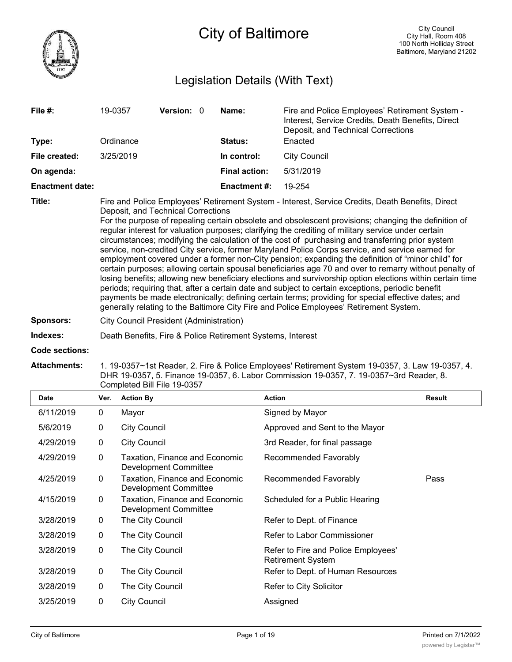

# City of Baltimore

## Legislation Details (With Text)

| File #:                | 19-0357                                                                                                                                                                                                                                                                                                                                                                                                                                                                                                                                                                                                                                                                                                                                                                                                                                                                                                                                                                                                                                                                                                                                                                                         | <b>Version: 0</b> |             | Name:                | Fire and Police Employees' Retirement System -<br>Interest, Service Credits, Death Benefits, Direct<br>Deposit, and Technical Corrections |  |  |
|------------------------|-------------------------------------------------------------------------------------------------------------------------------------------------------------------------------------------------------------------------------------------------------------------------------------------------------------------------------------------------------------------------------------------------------------------------------------------------------------------------------------------------------------------------------------------------------------------------------------------------------------------------------------------------------------------------------------------------------------------------------------------------------------------------------------------------------------------------------------------------------------------------------------------------------------------------------------------------------------------------------------------------------------------------------------------------------------------------------------------------------------------------------------------------------------------------------------------------|-------------------|-------------|----------------------|-------------------------------------------------------------------------------------------------------------------------------------------|--|--|
| Type:                  | Ordinance                                                                                                                                                                                                                                                                                                                                                                                                                                                                                                                                                                                                                                                                                                                                                                                                                                                                                                                                                                                                                                                                                                                                                                                       |                   | Status:     | Enacted              |                                                                                                                                           |  |  |
| File created:          | 3/25/2019                                                                                                                                                                                                                                                                                                                                                                                                                                                                                                                                                                                                                                                                                                                                                                                                                                                                                                                                                                                                                                                                                                                                                                                       |                   | In control: | <b>City Council</b>  |                                                                                                                                           |  |  |
| On agenda:             |                                                                                                                                                                                                                                                                                                                                                                                                                                                                                                                                                                                                                                                                                                                                                                                                                                                                                                                                                                                                                                                                                                                                                                                                 |                   |             | <b>Final action:</b> | 5/31/2019                                                                                                                                 |  |  |
| <b>Enactment date:</b> |                                                                                                                                                                                                                                                                                                                                                                                                                                                                                                                                                                                                                                                                                                                                                                                                                                                                                                                                                                                                                                                                                                                                                                                                 |                   |             | <b>Enactment#:</b>   | 19-254                                                                                                                                    |  |  |
| Title:                 | Fire and Police Employees' Retirement System - Interest, Service Credits, Death Benefits, Direct<br>Deposit, and Technical Corrections<br>For the purpose of repealing certain obsolete and obsolescent provisions; changing the definition of<br>regular interest for valuation purposes; clarifying the crediting of military service under certain<br>circumstances; modifying the calculation of the cost of purchasing and transferring prior system<br>service, non-credited City service, former Maryland Police Corps service, and service earned for<br>employment covered under a former non-City pension; expanding the definition of "minor child" for<br>certain purposes; allowing certain spousal beneficiaries age 70 and over to remarry without penalty of<br>losing benefits; allowing new beneficiary elections and survivorship option elections within certain time<br>periods; requiring that, after a certain date and subject to certain exceptions, periodic benefit<br>payments be made electronically; defining certain terms; providing for special effective dates; and<br>generally relating to the Baltimore City Fire and Police Employees' Retirement System. |                   |             |                      |                                                                                                                                           |  |  |
| <b>Sponsors:</b>       | City Council President (Administration)                                                                                                                                                                                                                                                                                                                                                                                                                                                                                                                                                                                                                                                                                                                                                                                                                                                                                                                                                                                                                                                                                                                                                         |                   |             |                      |                                                                                                                                           |  |  |
| Indexes:               | Death Benefits, Fire & Police Retirement Systems, Interest                                                                                                                                                                                                                                                                                                                                                                                                                                                                                                                                                                                                                                                                                                                                                                                                                                                                                                                                                                                                                                                                                                                                      |                   |             |                      |                                                                                                                                           |  |  |
| <b>Code sections:</b>  |                                                                                                                                                                                                                                                                                                                                                                                                                                                                                                                                                                                                                                                                                                                                                                                                                                                                                                                                                                                                                                                                                                                                                                                                 |                   |             |                      |                                                                                                                                           |  |  |

**Attachments:** 1. 19-0357~1st Reader, 2. Fire & Police Employees' Retirement System 19-0357, 3. Law 19-0357, 4. DHR 19-0357, 5. Finance 19-0357, 6. Labor Commission 19-0357, 7. 19-0357~3rd Reader, 8. Completed Bill File 19-0357

| <b>Date</b> | Ver. | <b>Action By</b>                                        | <b>Action</b>                                                   | <b>Result</b> |
|-------------|------|---------------------------------------------------------|-----------------------------------------------------------------|---------------|
| 6/11/2019   | 0    | Mayor                                                   | Signed by Mayor                                                 |               |
| 5/6/2019    | 0    | <b>City Council</b>                                     | Approved and Sent to the Mayor                                  |               |
| 4/29/2019   | 0    | <b>City Council</b>                                     | 3rd Reader, for final passage                                   |               |
| 4/29/2019   | 0    | Taxation, Finance and Economic<br>Development Committee | Recommended Favorably                                           |               |
| 4/25/2019   | 0    | Taxation, Finance and Economic<br>Development Committee | Recommended Favorably                                           | Pass          |
| 4/15/2019   | 0    | Taxation, Finance and Economic<br>Development Committee | Scheduled for a Public Hearing                                  |               |
| 3/28/2019   | 0    | The City Council                                        | Refer to Dept. of Finance                                       |               |
| 3/28/2019   | 0    | The City Council                                        | Refer to Labor Commissioner                                     |               |
| 3/28/2019   | 0    | The City Council                                        | Refer to Fire and Police Employees'<br><b>Retirement System</b> |               |
| 3/28/2019   | 0    | The City Council                                        | Refer to Dept. of Human Resources                               |               |
| 3/28/2019   | 0    | The City Council                                        | Refer to City Solicitor                                         |               |
| 3/25/2019   | 0    | <b>City Council</b>                                     | Assigned                                                        |               |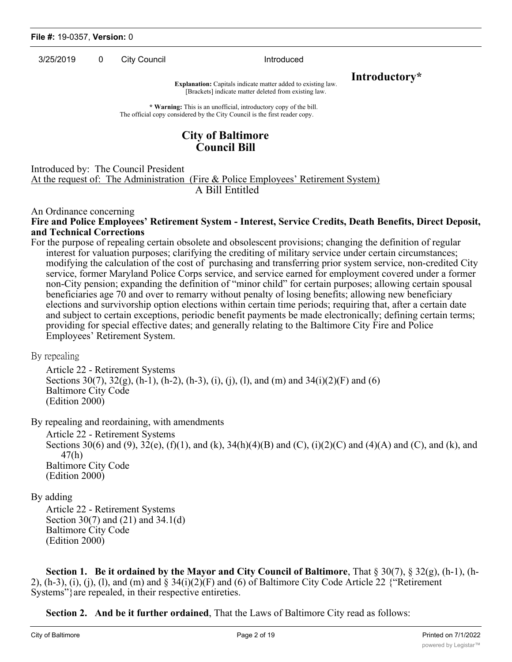3/25/2019 0 City Council 2012 10:00:00 Introduced

**Explanation:** Capitals indicate matter added to existing law. **Introductory**\* [Brackets] indicate matter deleted from existing law.

**\* Warning:** This is an unofficial, introductory copy of the bill. The official copy considered by the City Council is the first reader copy.

## **City of Baltimore Council Bill**

#### Introduced by: The Council President

At the request of: The Administration (Fire & Police Employees' Retirement System) A Bill Entitled

An Ordinance concerning

#### **Fire and Police Employees' Retirement System - Interest, Service Credits, Death Benefits, Direct Deposit, and Technical Corrections**

For the purpose of repealing certain obsolete and obsolescent provisions; changing the definition of regular interest for valuation purposes; clarifying the crediting of military service under certain circumstances; modifying the calculation of the cost of purchasing and transferring prior system service, non-credited City service, former Maryland Police Corps service, and service earned for employment covered under a former non-City pension; expanding the definition of "minor child" for certain purposes; allowing certain spousal beneficiaries age 70 and over to remarry without penalty of losing benefits; allowing new beneficiary elections and survivorship option elections within certain time periods; requiring that, after a certain date and subject to certain exceptions, periodic benefit payments be made electronically; defining certain terms; providing for special effective dates; and generally relating to the Baltimore City Fire and Police Employees' Retirement System.

By repealing

Article 22 - Retirement Systems Sections  $30(7)$ ,  $32(g)$ , (h-1), (h-2), (h-3), (i), (j), (l), and (m) and  $34(i)(2)(F)$  and (6) Baltimore City Code (Edition 2000)

By repealing and reordaining, with amendments

Article 22 - Retirement Systems Sections 30(6) and (9), 32(e), (f)(1), and (k), 34(h)(4)(B) and (C), (i)(2)(C) and (4)(A) and (C), and (k), and 47(h) Baltimore City Code (Edition 2000)

## By adding

Article 22 - Retirement Systems Section 30(7) and (21) and 34.1(d) Baltimore City Code (Edition 2000)

**Section 1. Be it ordained by the Mayor and City Council of Baltimore**, That § 30(7), § 32(g), (h-1), (h-2),  $(h-3)$ ,  $(i)$ ,  $(i)$ ,  $(l)$ , and  $(m)$  and  $\S 34(i)(2)(F)$  and  $(6)$  of Baltimore City Code Article 22  $\{$ "Retirement Systems"}are repealed, in their respective entireties.

**Section 2. And be it further ordained**, That the Laws of Baltimore City read as follows: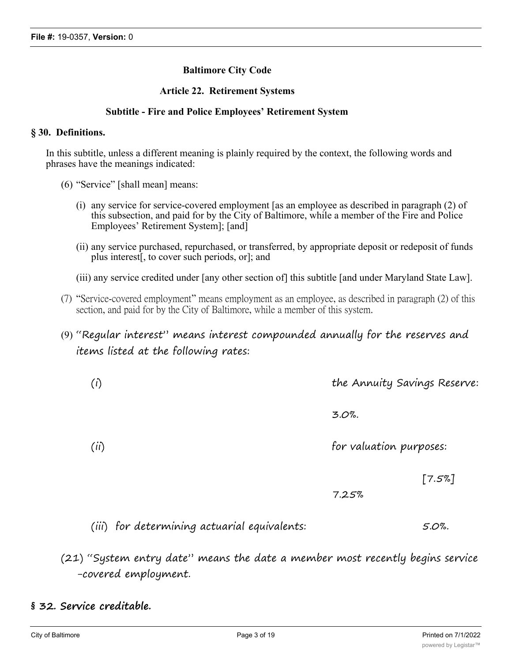## **Baltimore City Code**

#### **Article 22. Retirement Systems**

#### **Subtitle - Fire and Police Employees' Retirement System**

#### **§ 30. Definitions.**

In this subtitle, unless a different meaning is plainly required by the context, the following words and phrases have the meanings indicated:

- (6) "Service" [shall mean] means:
	- (i) any service for service-covered employment [as an employee as described in paragraph (2) of this subsection, and paid for by the City of Baltimore, while a member of the Fire and Police Employees' Retirement System]; [and]
	- (ii) any service purchased, repurchased, or transferred, by appropriate deposit or redeposit of funds plus interest[, to cover such periods, or]; and
	- (iii) any service credited under [any other section of] this subtitle [and under Maryland State Law].
- (7) "Service-covered employment" means employment as an employee, as described in paragraph (2) of this section, and paid for by the City of Baltimore, while a member of this system.

## (9) "Regular interest" means interest compounded annually for the reserves and items listed at the following rates:

| (i)  | the Annuity Savings Reserve: |
|------|------------------------------|
|      | $3.0\%$ .                    |
| (ii) | for valuation purposes:      |
|      | [7.5%]                       |

7.25%

(iii) for determining actuarial equivalents: 5.0%.

(21) "System entry date" means the date a member most recently begins service -covered employment.

## **§ 32. Service creditable.**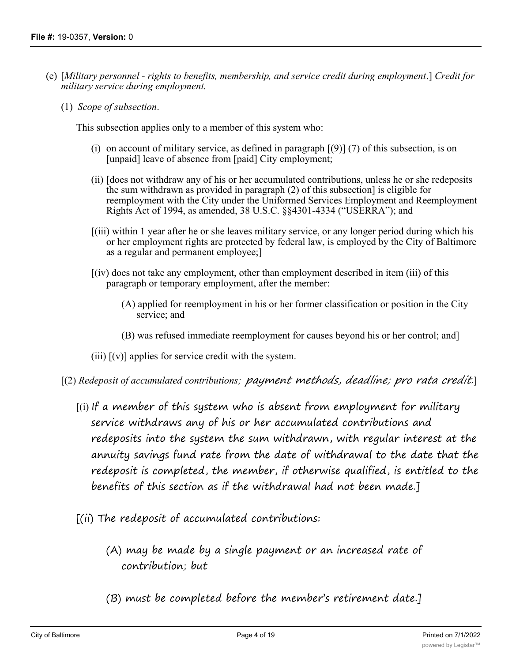- (e) [*Military personnel rights to benefits, membership, and service credit during employment*.] *Credit for military service during employment.*
	- (1) *Scope of subsection*.

This subsection applies only to a member of this system who:

- (i) on account of military service, as defined in paragraph  $[(9)]$  (7) of this subsection, is on [unpaid] leave of absence from [paid] City employment;
- (ii) [does not withdraw any of his or her accumulated contributions, unless he or she redeposits the sum withdrawn as provided in paragraph (2) of this subsection] is eligible for reemployment with the City under the Uniformed Services Employment and Reemployment Rights Act of 1994, as amended, 38 U.S.C. §§4301-4334 ("USERRA"); and
- [(iii) within 1 year after he or she leaves military service, or any longer period during which his or her employment rights are protected by federal law, is employed by the City of Baltimore as a regular and permanent employee;]
- [(iv) does not take any employment, other than employment described in item (iii) of this paragraph or temporary employment, after the member:
	- (A) applied for reemployment in his or her former classification or position in the City service; and
	- (B) was refused immediate reemployment for causes beyond his or her control; and]
- (iii)  $[(v)]$  applies for service credit with the system.
- [(2) *Redeposit of accumulated contributions; payment methods, deadline; pro rata credit.*]
	- $\left[$ (i) If a member of this system who is absent from employment for military service withdraws any of his or her accumulated contributions and redeposits into the system the sum withdrawn, with regular interest at the annuity savings fund rate from the date of withdrawal to the date that the redeposit is completed, the member, if otherwise qualified, is entitled to the benefits of this section as if the withdrawal had not been made.]
	- $[(ii)$  The redeposit of accumulated contributions:
		- (A) may be made by a single payment or an increased rate of contribution; but
		- (B) must be completed before the member's retirement date.]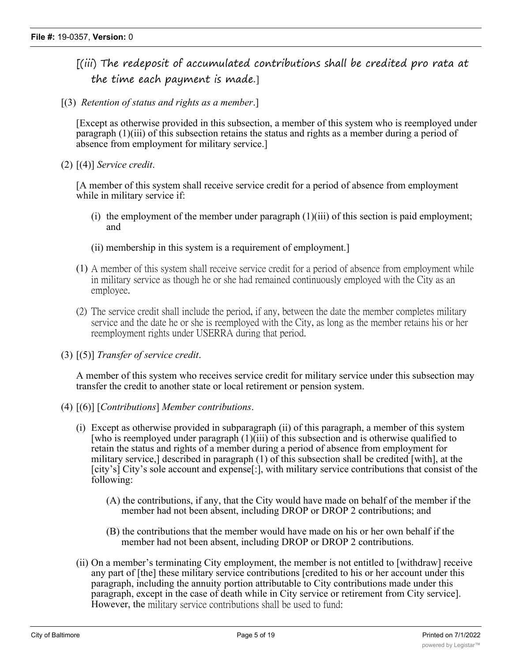- [(iii) The redeposit of accumulated contributions shall be credited pro rata at the time each payment is made.]
- [(3) *Retention of status and rights as a member*.]

[Except as otherwise provided in this subsection, a member of this system who is reemployed under paragraph (1)(iii) of this subsection retains the status and rights as a member during a period of absence from employment for military service.]

(2) [(4)] *Service credit*.

[A member of this system shall receive service credit for a period of absence from employment while in military service if:

- (i) the employment of the member under paragraph (1)(iii) of this section is paid employment; and
- (ii) membership in this system is a requirement of employment.]
- (1) A member of this system shall receive service credit for a period of absence from employment while in military service as though he or she had remained continuously employed with the City as an employee.
- (2) The service credit shall include the period, if any, between the date the member completes military service and the date he or she is reemployed with the City, as long as the member retains his or her reemployment rights under USERRA during that period.
- (3) [(5)] *Transfer of service credit*.

A member of this system who receives service credit for military service under this subsection may transfer the credit to another state or local retirement or pension system.

- (4) [(6)] [*Contributions*] *Member contributions*.
	- (i) Except as otherwise provided in subparagraph (ii) of this paragraph, a member of this system [who is reemployed under paragraph  $(1)(iii)$  of this subsection and is otherwise qualified to retain the status and rights of a member during a period of absence from employment for military service,] described in paragraph (1) of this subsection shall be credited [with], at the [city's] City's sole account and expense[:], with military service contributions that consist of the following:
		- (A) the contributions, if any, that the City would have made on behalf of the member if the member had not been absent, including DROP or DROP 2 contributions; and
		- (B) the contributions that the member would have made on his or her own behalf if the member had not been absent, including DROP or DROP 2 contributions.
	- (ii) On a member's terminating City employment, the member is not entitled to [withdraw] receive any part of [the] these military service contributions [credited to his or her account under this paragraph, including the annuity portion attributable to City contributions made under this paragraph, except in the case of death while in City service or retirement from City service]. However, the military service contributions shall be used to fund: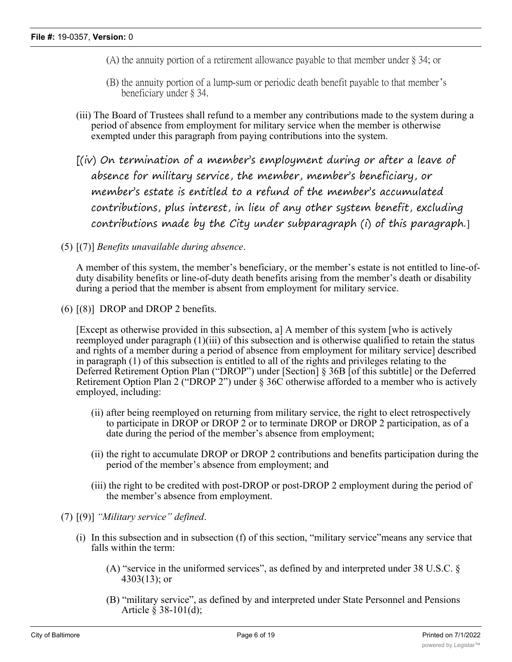- (A) the annuity portion of a retirement allowance payable to that member under § 34; or
- (B) the annuity portion of a lump-sum or periodic death benefit payable to that member's beneficiary under § 34.
- (iii) The Board of Trustees shall refund to a member any contributions made to the system during a period of absence from employment for military service when the member is otherwise exempted under this paragraph from paying contributions into the system.
- [(iv) On termination of a member's employment during or after a leave of absence for military service, the member, member's beneficiary, or member's estate is entitled to a refund of the member's accumulated contributions, plus interest, in lieu of any other system benefit, excluding contributions made by the City under subparagraph (i) of this paragraph.]
- (5) [(7)] *Benefits unavailable during absence*.

A member of this system, the member's beneficiary, or the member's estate is not entitled to line-ofduty disability benefits or line-of-duty death benefits arising from the member's death or disability during a period that the member is absent from employment for military service.

(6) [(8)] DROP and DROP 2 benefits.

[Except as otherwise provided in this subsection, a] A member of this system [who is actively reemployed under paragraph (1)(iii) of this subsection and is otherwise qualified to retain the status and rights of a member during a period of absence from employment for military service] described in paragraph (1) of this subsection is entitled to all of the rights and privileges relating to the Deferred Retirement Option Plan ("DROP") under [Section] § 36B [of this subtitle] or the Deferred Retirement Option Plan 2 ("DROP 2") under § 36C otherwise afforded to a member who is actively employed, including:

- (ii) after being reemployed on returning from military service, the right to elect retrospectively to participate in DROP or DROP 2 or to terminate DROP or DROP 2 participation, as of a date during the period of the member's absence from employment;
- (ii) the right to accumulate DROP or DROP 2 contributions and benefits participation during the period of the member's absence from employment; and
- (iii) the right to be credited with post-DROP or post-DROP 2 employment during the period of the member's absence from employment.
- (7) [(9)] *"Military service" defined*.
	- (i) In this subsection and in subsection (f) of this section, "military service"means any service that falls within the term:
		- (A) "service in the uniformed services", as defined by and interpreted under 38 U.S.C. § 4303(13); or
		- (B) "military service", as defined by and interpreted under State Personnel and Pensions Article § 38-101(d);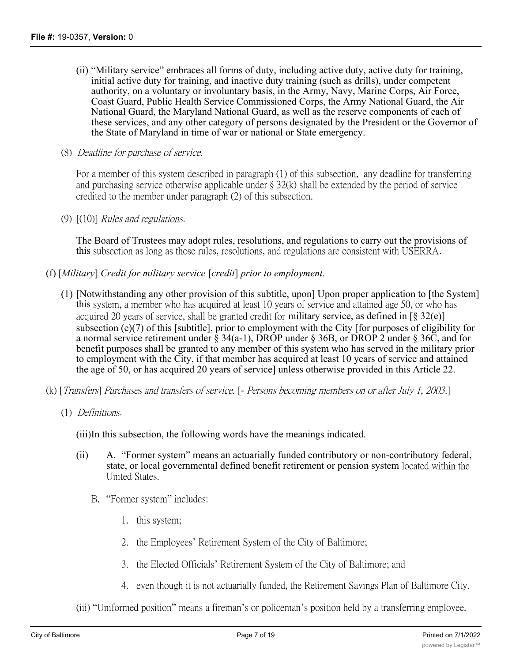- (ii) "Military service" embraces all forms of duty, including active duty, active duty for training, initial active duty for training, and inactive duty training (such as drills), under competent authority, on a voluntary or involuntary basis, in the Army, Navy, Marine Corps, Air Force, Coast Guard, Public Health Service Commissioned Corps, the Army National Guard, the Air National Guard, the Maryland National Guard, as well as the reserve components of each of these services, and any other category of persons designated by the President or the Governor of the State of Maryland in time of war or national or State emergency.
- (8) *Deadline for purchase of service.*

For a member of this system described in paragraph (1) of this subsection, any deadline for transferring and purchasing service otherwise applicable under § 32(k) shall be extended by the period of service credited to the member under paragraph (2) of this subsection.

(9) [(10)] *Rules and regulations*.

The Board of Trustees may adopt rules, resolutions, and regulations to carry out the provisions of this subsection as long as those rules, resolutions, and regulations are consistent with USERRA.

- (f) [*Military*] *Credit for military service* [*credit*] *prior to employment*.
	- (1) [Notwithstanding any other provision of this subtitle, upon] Upon proper application to [the System] this system, a member who has acquired at least 10 years of service and attained age 50, or who has acquired 20 years of service, shall be granted credit for military service, as defined in  $\lceil \S 32(e) \rceil$ subsection (e)(7) of this [subtitle], prior to employment with the City [for purposes of eligibility for a normal service retirement under  $\bar{\S}$  34(a-1), DROP under  $\S$  36B, or DROP 2 under  $\S$  36C, and for benefit purposes shall be granted to any member of this system who has served in the military prior to employment with the City, if that member has acquired at least 10 years of service and attained the age of 50, or has acquired 20 years of service] unless otherwise provided in this Article 22.
- (k) [*Transfers*] *Purchases and transfers of service.* [*- Persons becoming members on or after July 1, 2003*.]
	- (1) *Definitions*.
		- (iii)In this subsection, the following words have the meanings indicated.
		- (ii) A. "Former system" means an actuarially funded contributory or non-contributory federal, state, or local governmental defined benefit retirement or pension system located within the United States.
			- B. "Former system" includes:
				- 1. this system;
				- 2. the Employees' Retirement System of the City of Baltimore;
				- 3. the Elected Officials' Retirement System of the City of Baltimore; and
				- 4. even though it is not actuarially funded, the Retirement Savings Plan of Baltimore City.
		- (iii) "Uniformed position" means a fireman's or policeman's position held by a transferring employee.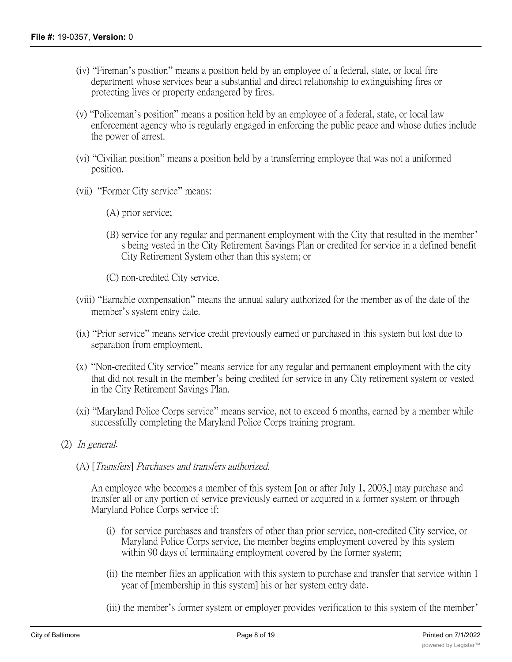- (iv) "Fireman's position" means a position held by an employee of a federal, state, or local fire department whose services bear a substantial and direct relationship to extinguishing fires or protecting lives or property endangered by fires.
- (v) "Policeman's position" means a position held by an employee of a federal, state, or local law enforcement agency who is regularly engaged in enforcing the public peace and whose duties include the power of arrest.
- (vi) "Civilian position" means a position held by a transferring employee that was not a uniformed position.
- (vii) "Former City service" means:
	- (A) prior service;
	- (B) service for any regular and permanent employment with the City that resulted in the member' s being vested in the City Retirement Savings Plan or credited for service in a defined benefit City Retirement System other than this system; or

(C) non-credited City service.

- (viii) "Earnable compensation" means the annual salary authorized for the member as of the date of the member's system entry date.
- (ix) "Prior service" means service credit previously earned or purchased in this system but lost due to separation from employment.
- (x) "Non-credited City service" means service for any regular and permanent employment with the city that did not result in the member's being credited for service in any City retirement system or vested in the City Retirement Savings Plan.
- (xi) "Maryland Police Corps service" means service, not to exceed 6 months, earned by a member while successfully completing the Maryland Police Corps training program.
- (2) *In general*.
	- (A) [*Transfers*] *Purchases and transfers authorized.*

An employee who becomes a member of this system [on or after July 1, 2003,] may purchase and transfer all or any portion of service previously earned or acquired in a former system or through Maryland Police Corps service if:

- (i) for service purchases and transfers of other than prior service, non-credited City service, or Maryland Police Corps service, the member begins employment covered by this system within 90 days of terminating employment covered by the former system;
- (ii) the member files an application with this system to purchase and transfer that service within 1 year of [membership in this system] his or her system entry date.
- (iii) the member's former system or employer provides verification to this system of the member'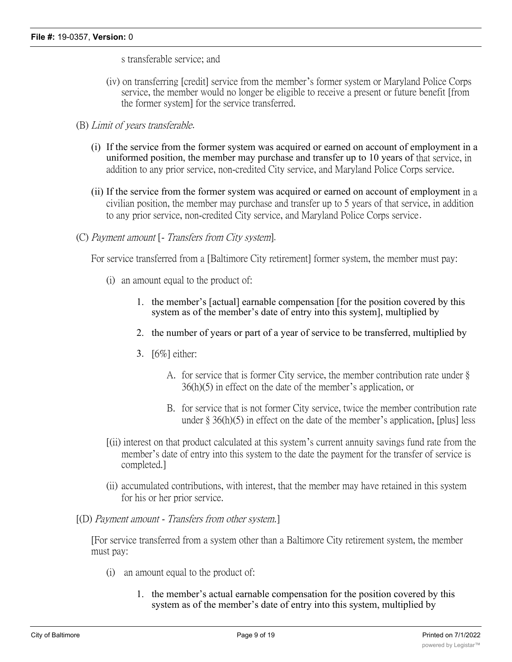s transferable service; and

- (iv) on transferring [credit] service from the member's former system or Maryland Police Corps service, the member would no longer be eligible to receive a present or future benefit [from the former system] for the service transferred.
- (B) *Limit of years transferable*.
	- (i) If the service from the former system was acquired or earned on account of employment in a uniformed position, the member may purchase and transfer up to 10 years of that service, in addition to any prior service, non-credited City service, and Maryland Police Corps service.
	- (ii) If the service from the former system was acquired or earned on account of employment in a civilian position, the member may purchase and transfer up to 5 years of that service, in addition to any prior service, non-credited City service, and Maryland Police Corps service.
- (C) *Payment amount* [ *Transfers from City system*]*.*

For service transferred from a [Baltimore City retirement] former system, the member must pay:

- (i) an amount equal to the product of:
	- 1. the member's [actual] earnable compensation [for the position covered by this system as of the member's date of entry into this system], multiplied by
	- 2. the number of years or part of a year of service to be transferred, multiplied by
	- 3. [6%] either:
		- A. for service that is former City service, the member contribution rate under § 36(h)(5) in effect on the date of the member's application, or
		- B. for service that is not former City service, twice the member contribution rate under  $\S 36(h)(5)$  in effect on the date of the member's application, [plus] less
- [(ii) interest on that product calculated at this system's current annuity savings fund rate from the member's date of entry into this system to the date the payment for the transfer of service is completed.]
- (ii) accumulated contributions, with interest, that the member may have retained in this system for his or her prior service.
- [(D) *Payment amount Transfers from other system.*]

[For service transferred from a system other than a Baltimore City retirement system, the member must pay:

- (i) an amount equal to the product of:
	- 1. the member's actual earnable compensation for the position covered by this system as of the member's date of entry into this system, multiplied by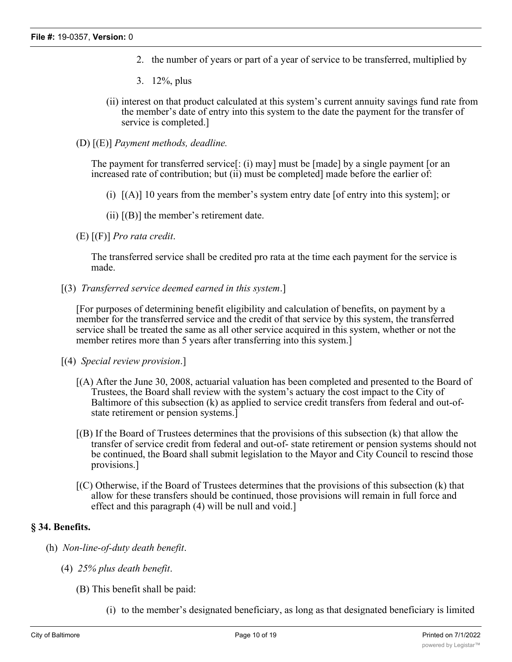- 2. the number of years or part of a year of service to be transferred, multiplied by
- 3. 12%, plus
- (ii) interest on that product calculated at this system's current annuity savings fund rate from the member's date of entry into this system to the date the payment for the transfer of service is completed.]
- (D) [(E)] *Payment methods, deadline.*

The payment for transferred service[: (i) may] must be [made] by a single payment [or an increased rate of contribution; but (ii) must be completed] made before the earlier of:

- (i) [(A)] 10 years from the member's system entry date [of entry into this system]; or
- (ii)  $[(B)]$  the member's retirement date.
- (E) [(F)] *Pro rata credit*.

The transferred service shall be credited pro rata at the time each payment for the service is made.

[(3) *Transferred service deemed earned in this system*.]

[For purposes of determining benefit eligibility and calculation of benefits, on payment by a member for the transferred service and the credit of that service by this system, the transferred service shall be treated the same as all other service acquired in this system, whether or not the member retires more than 5 years after transferring into this system.

- [(4) *Special review provision*.]
	- [(A) After the June 30, 2008, actuarial valuation has been completed and presented to the Board of Trustees, the Board shall review with the system's actuary the cost impact to the City of Baltimore of this subsection (k) as applied to service credit transfers from federal and out-ofstate retirement or pension systems.]
	- [(B) If the Board of Trustees determines that the provisions of this subsection (k) that allow the transfer of service credit from federal and out-of- state retirement or pension systems should not be continued, the Board shall submit legislation to the Mayor and City Council to rescind those provisions.]
	- [(C) Otherwise, if the Board of Trustees determines that the provisions of this subsection (k) that allow for these transfers should be continued, those provisions will remain in full force and effect and this paragraph (4) will be null and void.]

#### **§ 34. Benefits.**

- (h) *Non-line-of-duty death benefit*.
	- (4) *25% plus death benefit*.
		- (B) This benefit shall be paid:
			- (i) to the member's designated beneficiary, as long as that designated beneficiary is limited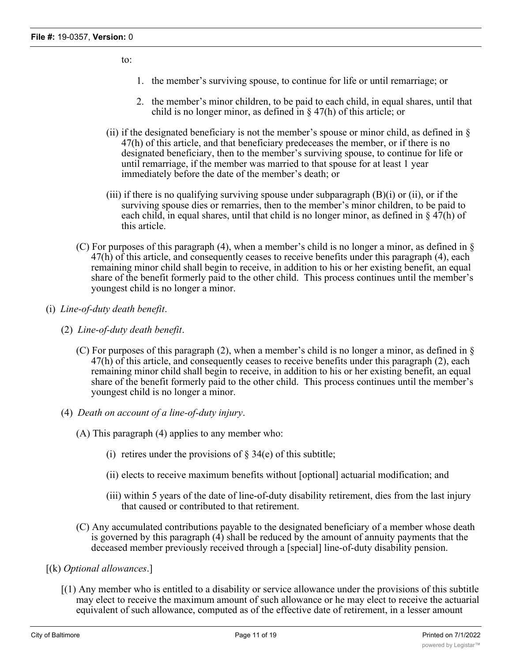to:

- 1. the member's surviving spouse, to continue for life or until remarriage; or
- 2. the member's minor children, to be paid to each child, in equal shares, until that child is no longer minor, as defined in § 47(h) of this article; or
- (ii) if the designated beneficiary is not the member's spouse or minor child, as defined in  $\S$ 47(h) of this article, and that beneficiary predeceases the member, or if there is no designated beneficiary, then to the member's surviving spouse, to continue for life or until remarriage, if the member was married to that spouse for at least 1 year immediately before the date of the member's death; or
- (iii) if there is no qualifying surviving spouse under subparagraph  $(B)(i)$  or (ii), or if the surviving spouse dies or remarries, then to the member's minor children, to be paid to each child, in equal shares, until that child is no longer minor, as defined in  $\S 47(h)$  of this article.
- (C) For purposes of this paragraph (4), when a member's child is no longer a minor, as defined in § 47(h) of this article, and consequently ceases to receive benefits under this paragraph (4), each remaining minor child shall begin to receive, in addition to his or her existing benefit, an equal share of the benefit formerly paid to the other child. This process continues until the member's youngest child is no longer a minor.
- (i) *Line-of-duty death benefit*.
	- (2) *Line-of-duty death benefit*.
		- (C) For purposes of this paragraph (2), when a member's child is no longer a minor, as defined in § 47(h) of this article, and consequently ceases to receive benefits under this paragraph (2), each remaining minor child shall begin to receive, in addition to his or her existing benefit, an equal share of the benefit formerly paid to the other child. This process continues until the member's youngest child is no longer a minor.
	- (4) *Death on account of a line-of-duty injury*.
		- (A) This paragraph (4) applies to any member who:
			- (i) retires under the provisions of  $\S 34(e)$  of this subtitle;
			- (ii) elects to receive maximum benefits without [optional] actuarial modification; and
			- (iii) within 5 years of the date of line-of-duty disability retirement, dies from the last injury that caused or contributed to that retirement.
		- (C) Any accumulated contributions payable to the designated beneficiary of a member whose death is governed by this paragraph  $\overline{4}$  shall be reduced by the amount of annuity payments that the deceased member previously received through a [special] line-of-duty disability pension.
- [(k) *Optional allowances*.]
	- $(1)$  Any member who is entitled to a disability or service allowance under the provisions of this subtitle may elect to receive the maximum amount of such allowance or he may elect to receive the actuarial equivalent of such allowance, computed as of the effective date of retirement, in a lesser amount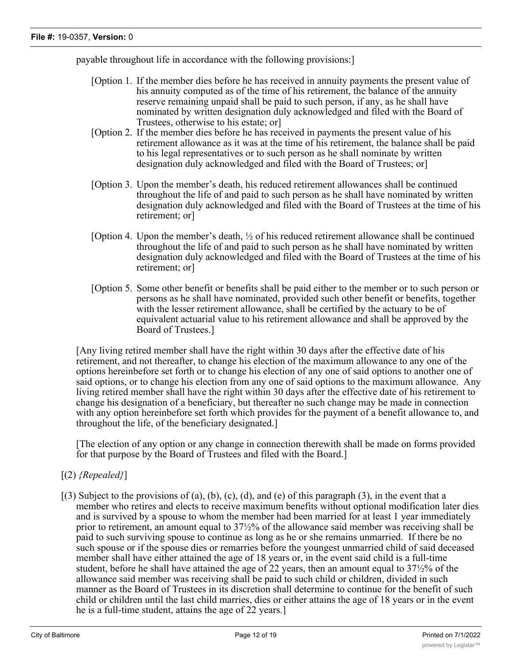payable throughout life in accordance with the following provisions:]

- [Option 1. If the member dies before he has received in annuity payments the present value of his annuity computed as of the time of his retirement, the balance of the annuity reserve remaining unpaid shall be paid to such person, if any, as he shall have nominated by written designation duly acknowledged and filed with the Board of Trustees, otherwise to his estate; or]
- [Option 2. If the member dies before he has received in payments the present value of his retirement allowance as it was at the time of his retirement, the balance shall be paid to his legal representatives or to such person as he shall nominate by written designation duly acknowledged and filed with the Board of Trustees; or]
- [Option 3. Upon the member's death, his reduced retirement allowances shall be continued throughout the life of and paid to such person as he shall have nominated by written designation duly acknowledged and filed with the Board of Trustees at the time of his retirement; or]
- [Option 4. Upon the member's death, ½ of his reduced retirement allowance shall be continued throughout the life of and paid to such person as he shall have nominated by written designation duly acknowledged and filed with the Board of Trustees at the time of his retirement; or]
- [Option 5. Some other benefit or benefits shall be paid either to the member or to such person or persons as he shall have nominated, provided such other benefit or benefits, together with the lesser retirement allowance, shall be certified by the actuary to be of equivalent actuarial value to his retirement allowance and shall be approved by the Board of Trustees.]

[Any living retired member shall have the right within 30 days after the effective date of his retirement, and not thereafter, to change his election of the maximum allowance to any one of the options hereinbefore set forth or to change his election of any one of said options to another one of said options, or to change his election from any one of said options to the maximum allowance. Any living retired member shall have the right within 30 days after the effective date of his retirement to change his designation of a beneficiary, but thereafter no such change may be made in connection with any option hereinbefore set forth which provides for the payment of a benefit allowance to, and throughout the life, of the beneficiary designated.]

[The election of any option or any change in connection therewith shall be made on forms provided for that purpose by the Board of Trustees and filed with the Board.]

- [(2) *{Repealed}*]
- $[(3)$  Subject to the provisions of (a), (b), (c), (d), and (e) of this paragraph (3), in the event that a member who retires and elects to receive maximum benefits without optional modification later dies and is survived by a spouse to whom the member had been married for at least 1 year immediately prior to retirement, an amount equal to 37½% of the allowance said member was receiving shall be paid to such surviving spouse to continue as long as he or she remains unmarried. If there be no such spouse or if the spouse dies or remarries before the youngest unmarried child of said deceased member shall have either attained the age of 18 years or, in the event said child is a full-time student, before he shall have attained the age of 22 years, then an amount equal to 37½% of the allowance said member was receiving shall be paid to such child or children, divided in such manner as the Board of Trustees in its discretion shall determine to continue for the benefit of such child or children until the last child marries, dies or either attains the age of 18 years or in the event he is a full-time student, attains the age of 22 years.]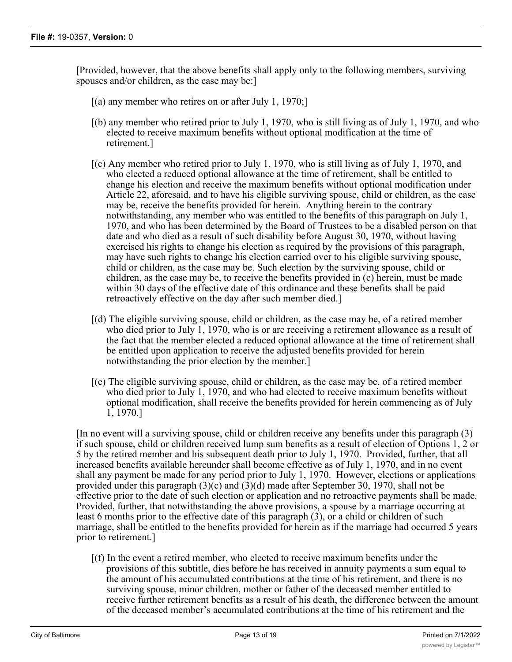[Provided, however, that the above benefits shall apply only to the following members, surviving spouses and/or children, as the case may be:]

- $[(a)$  any member who retires on or after July 1, 1970;
- [(b) any member who retired prior to July 1, 1970, who is still living as of July 1, 1970, and who elected to receive maximum benefits without optional modification at the time of retirement.]
- [(c) Any member who retired prior to July 1, 1970, who is still living as of July 1, 1970, and who elected a reduced optional allowance at the time of retirement, shall be entitled to change his election and receive the maximum benefits without optional modification under Article 22, aforesaid, and to have his eligible surviving spouse, child or children, as the case may be, receive the benefits provided for herein. Anything herein to the contrary notwithstanding, any member who was entitled to the benefits of this paragraph on July 1, 1970, and who has been determined by the Board of Trustees to be a disabled person on that date and who died as a result of such disability before August 30, 1970, without having exercised his rights to change his election as required by the provisions of this paragraph, may have such rights to change his election carried over to his eligible surviving spouse, child or children, as the case may be. Such election by the surviving spouse, child or children, as the case may be, to receive the benefits provided in (c) herein, must be made within 30 days of the effective date of this ordinance and these benefits shall be paid retroactively effective on the day after such member died.]
- [(d) The eligible surviving spouse, child or children, as the case may be, of a retired member who died prior to July 1, 1970, who is or are receiving a retirement allowance as a result of the fact that the member elected a reduced optional allowance at the time of retirement shall be entitled upon application to receive the adjusted benefits provided for herein notwithstanding the prior election by the member.]
- [(e) The eligible surviving spouse, child or children, as the case may be, of a retired member who died prior to July 1, 1970, and who had elected to receive maximum benefits without optional modification, shall receive the benefits provided for herein commencing as of July 1, 1970.]

[In no event will a surviving spouse, child or children receive any benefits under this paragraph (3) if such spouse, child or children received lump sum benefits as a result of election of Options 1, 2 or 5 by the retired member and his subsequent death prior to July 1, 1970. Provided, further, that all increased benefits available hereunder shall become effective as of July 1, 1970, and in no event shall any payment be made for any period prior to July 1, 1970. However, elections or applications provided under this paragraph (3)(c) and (3)(d) made after September 30, 1970, shall not be effective prior to the date of such election or application and no retroactive payments shall be made. Provided, further, that notwithstanding the above provisions, a spouse by a marriage occurring at least 6 months prior to the effective date of this paragraph (3), or a child or children of such marriage, shall be entitled to the benefits provided for herein as if the marriage had occurred 5 years prior to retirement.]

[(f) In the event a retired member, who elected to receive maximum benefits under the provisions of this subtitle, dies before he has received in annuity payments a sum equal to the amount of his accumulated contributions at the time of his retirement, and there is no surviving spouse, minor children, mother or father of the deceased member entitled to receive further retirement benefits as a result of his death, the difference between the amount of the deceased member's accumulated contributions at the time of his retirement and the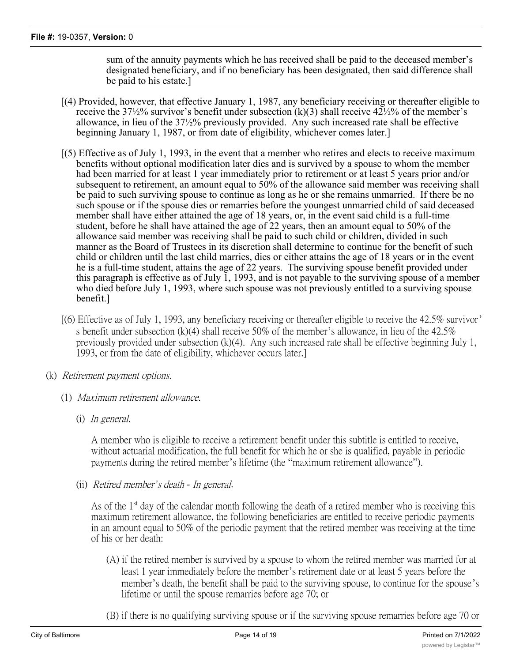sum of the annuity payments which he has received shall be paid to the deceased member's designated beneficiary, and if no beneficiary has been designated, then said difference shall be paid to his estate.]

- [(4) Provided, however, that effective January 1, 1987, any beneficiary receiving or thereafter eligible to receive the 37½% survivor's benefit under subsection  $(k)(3)$  shall receive 42½% of the member's allowance, in lieu of the 37½% previously provided. Any such increased rate shall be effective beginning January 1, 1987, or from date of eligibility, whichever comes later.]
- [(5) Effective as of July 1, 1993, in the event that a member who retires and elects to receive maximum benefits without optional modification later dies and is survived by a spouse to whom the member had been married for at least 1 year immediately prior to retirement or at least 5 years prior and/or subsequent to retirement, an amount equal to 50% of the allowance said member was receiving shall be paid to such surviving spouse to continue as long as he or she remains unmarried. If there be no such spouse or if the spouse dies or remarries before the youngest unmarried child of said deceased member shall have either attained the age of 18 years, or, in the event said child is a full-time student, before he shall have attained the age of 22 years, then an amount equal to 50% of the allowance said member was receiving shall be paid to such child or children, divided in such manner as the Board of Trustees in its discretion shall determine to continue for the benefit of such child or children until the last child marries, dies or either attains the age of 18 years or in the event he is a full-time student, attains the age of 22 years. The surviving spouse benefit provided under this paragraph is effective as of July  $\overline{1}$ , 1993, and is not payable to the surviving spouse of a member who died before July 1, 1993, where such spouse was not previously entitled to a surviving spouse benefit.]
- [(6) Effective as of July 1, 1993, any beneficiary receiving or thereafter eligible to receive the 42.5% survivor' s benefit under subsection (k)(4) shall receive 50% of the member's allowance, in lieu of the 42.5% previously provided under subsection (k)(4). Any such increased rate shall be effective beginning July 1, 1993, or from the date of eligibility, whichever occurs later.]
- (k) *Retirement payment options.*
	- (1) *Maximum retirement allowance.*
		- (i) *In general.*

A member who is eligible to receive a retirement benefit under this subtitle is entitled to receive, without actuarial modification, the full benefit for which he or she is qualified, payable in periodic payments during the retired member's lifetime (the "maximum retirement allowance").

(ii) *Retired member's death - In general*.

As of the 1<sup>st</sup> day of the calendar month following the death of a retired member who is receiving this maximum retirement allowance, the following beneficiaries are entitled to receive periodic payments in an amount equal to 50% of the periodic payment that the retired member was receiving at the time of his or her death:

- (A) if the retired member is survived by a spouse to whom the retired member was married for at least 1 year immediately before the member's retirement date or at least 5 years before the member's death, the benefit shall be paid to the surviving spouse, to continue for the spouse's lifetime or until the spouse remarries before age 70; or
- (B) if there is no qualifying surviving spouse or if the surviving spouse remarries before age 70 or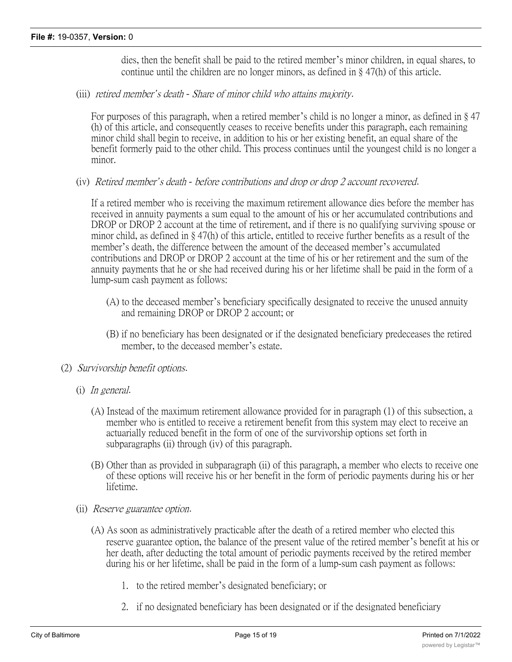dies, then the benefit shall be paid to the retired member's minor children, in equal shares, to continue until the children are no longer minors, as defined in § 47(h) of this article.

(iii) *retired member's death - Share of minor child who attains majority*.

For purposes of this paragraph, when a retired member's child is no longer a minor, as defined in § 47 (h) of this article, and consequently ceases to receive benefits under this paragraph, each remaining minor child shall begin to receive, in addition to his or her existing benefit, an equal share of the benefit formerly paid to the other child. This process continues until the youngest child is no longer a minor.

(iv) *Retired member's death - before contributions and drop or drop 2 account recovered*.

If a retired member who is receiving the maximum retirement allowance dies before the member has received in annuity payments a sum equal to the amount of his or her accumulated contributions and DROP or DROP 2 account at the time of retirement, and if there is no qualifying surviving spouse or minor child, as defined in § 47(h) of this article, entitled to receive further benefits as a result of the member's death, the difference between the amount of the deceased member's accumulated contributions and DROP or DROP 2 account at the time of his or her retirement and the sum of the annuity payments that he or she had received during his or her lifetime shall be paid in the form of a lump-sum cash payment as follows:

- (A) to the deceased member's beneficiary specifically designated to receive the unused annuity and remaining DROP or DROP 2 account; or
- (B) if no beneficiary has been designated or if the designated beneficiary predeceases the retired member, to the deceased member's estate.
- (2) *Survivorship benefit options*.
	- (i) *In general*.
		- (A) Instead of the maximum retirement allowance provided for in paragraph (1) of this subsection, a member who is entitled to receive a retirement benefit from this system may elect to receive an actuarially reduced benefit in the form of one of the survivorship options set forth in subparagraphs (ii) through (iv) of this paragraph.
		- (B) Other than as provided in subparagraph (ii) of this paragraph, a member who elects to receive one of these options will receive his or her benefit in the form of periodic payments during his or her lifetime.
	- (ii) *Reserve guarantee option*.
		- (A) As soon as administratively practicable after the death of a retired member who elected this reserve guarantee option, the balance of the present value of the retired member's benefit at his or her death, after deducting the total amount of periodic payments received by the retired member during his or her lifetime, shall be paid in the form of a lump-sum cash payment as follows:
			- 1. to the retired member's designated beneficiary; or
			- 2. if no designated beneficiary has been designated or if the designated beneficiary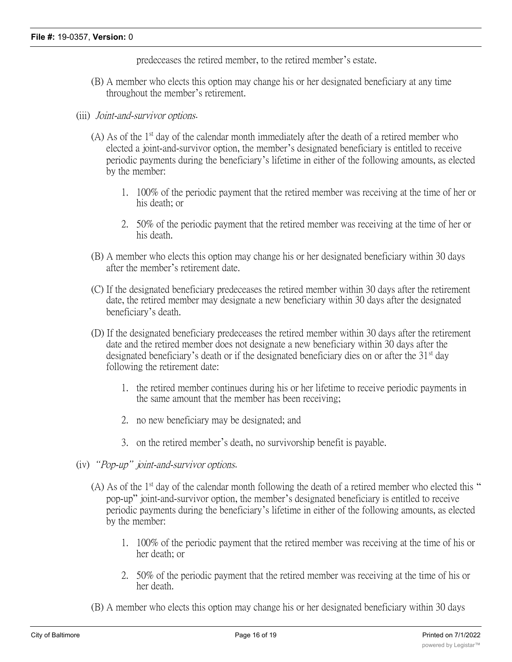predeceases the retired member, to the retired member's estate.

- (B) A member who elects this option may change his or her designated beneficiary at any time throughout the member's retirement.
- (iii) *Joint-and-survivor options*.
	- (A) As of the  $1<sup>st</sup>$  day of the calendar month immediately after the death of a retired member who elected a joint-and-survivor option, the member's designated beneficiary is entitled to receive periodic payments during the beneficiary's lifetime in either of the following amounts, as elected by the member:
		- 1. 100% of the periodic payment that the retired member was receiving at the time of her or his death; or
		- 2. 50% of the periodic payment that the retired member was receiving at the time of her or his death.
	- (B) A member who elects this option may change his or her designated beneficiary within 30 days after the member's retirement date.
	- (C) If the designated beneficiary predeceases the retired member within 30 days after the retirement date, the retired member may designate a new beneficiary within 30 days after the designated beneficiary's death.
	- (D) If the designated beneficiary predeceases the retired member within 30 days after the retirement date and the retired member does not designate a new beneficiary within 30 days after the designated beneficiary's death or if the designated beneficiary dies on or after the  $31<sup>st</sup>$  day following the retirement date:
		- 1. the retired member continues during his or her lifetime to receive periodic payments in the same amount that the member has been receiving;
		- 2. no new beneficiary may be designated; and
		- 3. on the retired member's death, no survivorship benefit is payable.
- (iv) *"Pop-up" joint-and-survivor options*.
	- (A) As of the  $1<sup>st</sup>$  day of the calendar month following the death of a retired member who elected this " pop-up" joint-and-survivor option, the member's designated beneficiary is entitled to receive periodic payments during the beneficiary's lifetime in either of the following amounts, as elected by the member:
		- 1. 100% of the periodic payment that the retired member was receiving at the time of his or her death; or
		- 2. 50% of the periodic payment that the retired member was receiving at the time of his or her death.
	- (B) A member who elects this option may change his or her designated beneficiary within 30 days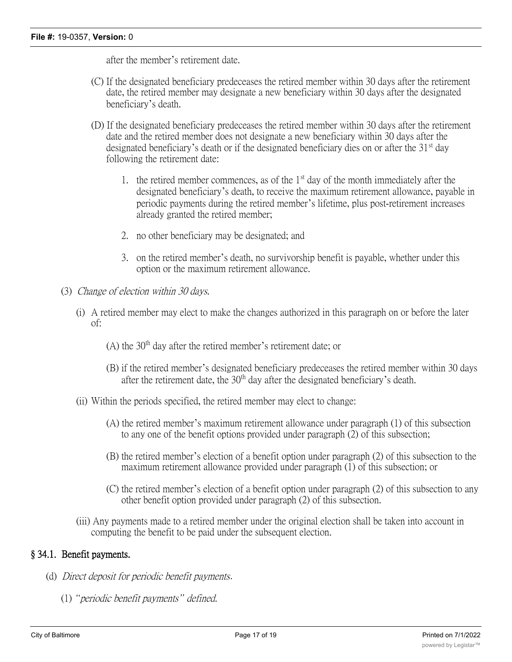after the member's retirement date.

- (C) If the designated beneficiary predeceases the retired member within 30 days after the retirement date, the retired member may designate a new beneficiary within 30 days after the designated beneficiary's death.
- (D) If the designated beneficiary predeceases the retired member within 30 days after the retirement date and the retired member does not designate a new beneficiary within 30 days after the designated beneficiary's death or if the designated beneficiary dies on or after the  $31<sup>st</sup>$  day following the retirement date:
	- 1. the retired member commences, as of the  $1<sup>st</sup>$  day of the month immediately after the designated beneficiary's death, to receive the maximum retirement allowance, payable in periodic payments during the retired member's lifetime, plus post-retirement increases already granted the retired member;
	- 2. no other beneficiary may be designated; and
	- 3. on the retired member's death, no survivorship benefit is payable, whether under this option or the maximum retirement allowance.
- (3) *Change of election within 30 days.*
	- (i) A retired member may elect to make the changes authorized in this paragraph on or before the later of:
		- $(A)$  the 30<sup>th</sup> day after the retired member's retirement date; or
		- (B) if the retired member's designated beneficiary predeceases the retired member within 30 days after the retirement date, the  $30<sup>th</sup>$  day after the designated beneficiary's death.
	- (ii) Within the periods specified, the retired member may elect to change:
		- (A) the retired member's maximum retirement allowance under paragraph (1) of this subsection to any one of the benefit options provided under paragraph (2) of this subsection;
		- (B) the retired member's election of a benefit option under paragraph (2) of this subsection to the maximum retirement allowance provided under paragraph (1) of this subsection; or
		- (C) the retired member's election of a benefit option under paragraph (2) of this subsection to any other benefit option provided under paragraph (2) of this subsection.
	- (iii) Any payments made to a retired member under the original election shall be taken into account in computing the benefit to be paid under the subsequent election.

#### **§ 34.1. Benefit payments.**

- (d) *Direct deposit for periodic benefit payments*.
	- (1) *"periodic benefit payments" defined.*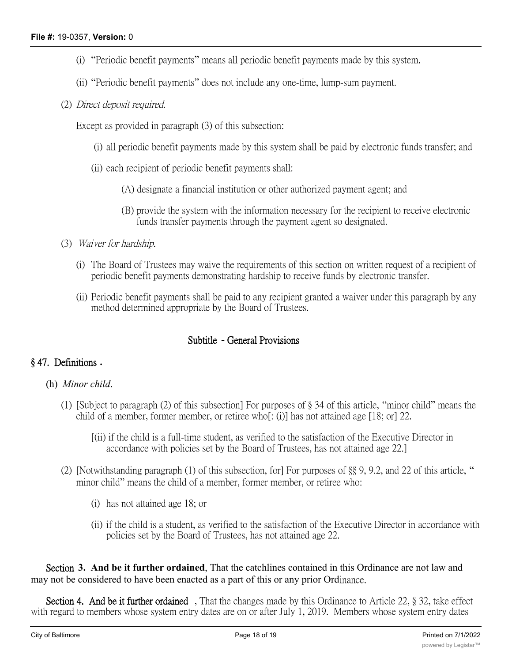- (i) "Periodic benefit payments" means all periodic benefit payments made by this system.
- (ii) "Periodic benefit payments" does not include any one-time, lump-sum payment.
- (2) *Direct deposit required.*

Except as provided in paragraph (3) of this subsection:

- (i) all periodic benefit payments made by this system shall be paid by electronic funds transfer; and
- (ii) each recipient of periodic benefit payments shall:
	- (A) designate a financial institution or other authorized payment agent; and
	- (B) provide the system with the information necessary for the recipient to receive electronic funds transfer payments through the payment agent so designated.
- (3) *Waiver for hardship.*
	- (i) The Board of Trustees may waive the requirements of this section on written request of a recipient of periodic benefit payments demonstrating hardship to receive funds by electronic transfer.
	- (ii) Periodic benefit payments shall be paid to any recipient granted a waiver under this paragraph by any method determined appropriate by the Board of Trustees.

## **Subtitle - General Provisions**

## **§ 47. Definitions .**

## (h) *Minor child*.

- (1) [Subject to paragraph (2) of this subsection] For purposes of § 34 of this article, "minor child" means the child of a member, former member, or retiree who[: (i)] has not attained age [18; or] 22.
	- [(ii) if the child is a full-time student, as verified to the satisfaction of the Executive Director in accordance with policies set by the Board of Trustees, has not attained age 22.]
- (2) [Notwithstanding paragraph (1) of this subsection, for] For purposes of §§ 9, 9.2, and 22 of this article, " minor child" means the child of a member, former member, or retiree who:
	- (i) has not attained age 18; or
	- (ii) if the child is a student, as verified to the satisfaction of the Executive Director in accordance with policies set by the Board of Trustees, has not attained age 22.

**Section 3. And be it further ordained**, That the catchlines contained in this Ordinance are not law and may not be considered to have been enacted as a part of this or any prior Ordinance.

**Section 4. And be it further ordained** , That the changes made by this Ordinance to Article 22, § 32, take effect with regard to members whose system entry dates are on or after July 1, 2019. Members whose system entry dates